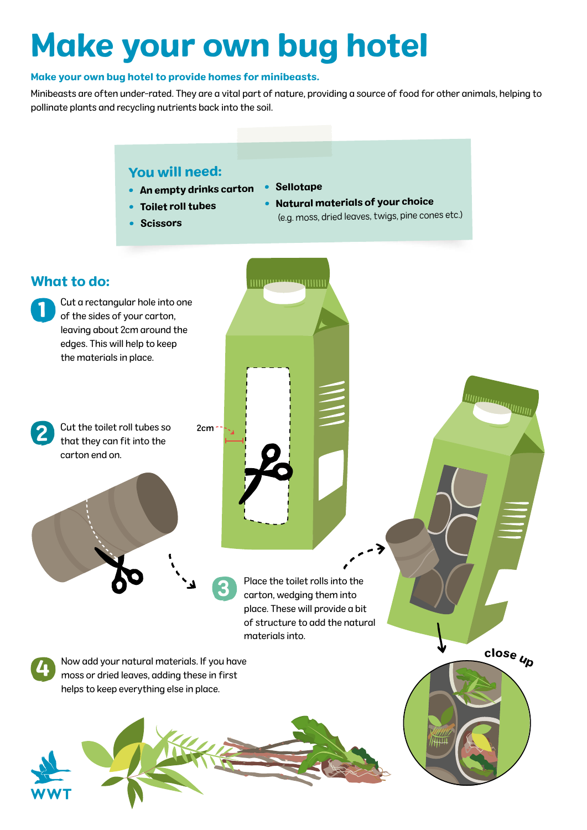# Make your own bug hotel

#### Make your own bug hotel to provide homes for minibeasts.

Minibeasts are often under-rated. They are a vital part of nature, providing a source of food for other animals, helping to pollinate plants and recycling nutrients back into the soil.